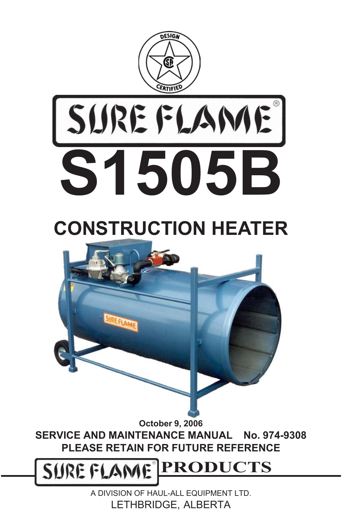



## **CONSTRUCTION HEATER**



SURE FLAME® **PRODUCTS**

> A DIVISION OF HAUL-ALL EQUIPMENT LTD. LETHBRIDGE, ALBERTA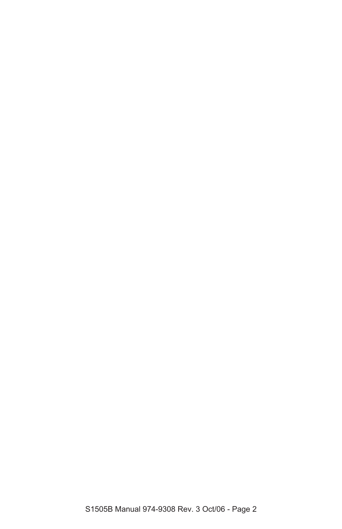S1505B Manual 974-9308 Rev. 3 Oct/06 - Page 2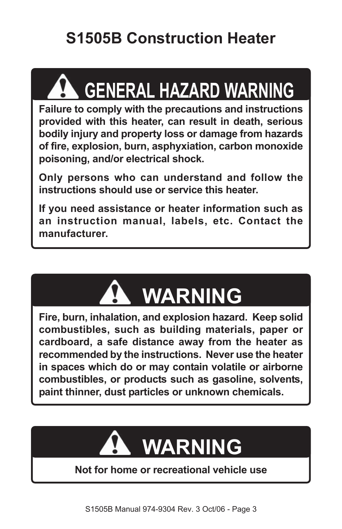## **S1505B Construction Heater**

# **GENERAL HAZARD WARNING**

**Failure to comply with the precautions and instructions provided with this heater, can result in death, serious bodily injury and property loss or damage from hazards of fire, explosion, burn, asphyxiation, carbon monoxide poisoning, and/or electrical shock.**

**Only persons who can understand and follow the instructions should use or service this heater.**

**If you need assistance or heater information such as an instruction manual, labels, etc. Contact the manufacturer.**



**Fire, burn, inhalation, and explosion hazard. Keep solid combustibles, such as building materials, paper or cardboard, a safe distance away from the heater as recommended by the instructions. Never use the heater in spaces which do or may contain volatile or airborne combustibles, or products such as gasoline, solvents, paint thinner, dust particles or unknown chemicals.**

# **WARNING**

#### **Not for home or recreational vehicle use**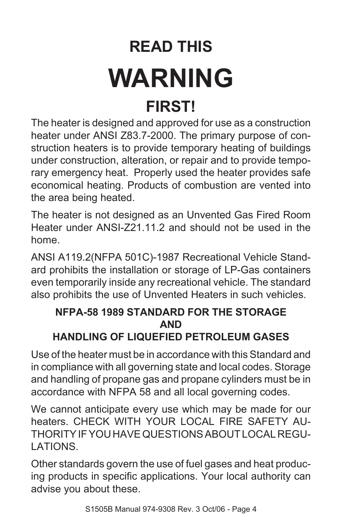# **READ THIS WARNING FIRST!**

The heater is designed and approved for use as a construction heater under ANSI Z83.7-2000. The primary purpose of construction heaters is to provide temporary heating of buildings under construction, alteration, or repair and to provide temporary emergency heat. Properly used the heater provides safe economical heating. Products of combustion are vented into the area being heated.

The heater is not designed as an Unvented Gas Fired Room Heater under ANSI-Z21.11.2 and should not be used in the home.

ANSI A119.2(NFPA 501C)-1987 Recreational Vehicle Standard prohibits the installation or storage of LP-Gas containers even temporarily inside any recreational vehicle. The standard also prohibits the use of Unvented Heaters in such vehicles.

#### **NFPA-58 1989 STANDARD FOR THE STORAGE AND**

#### **HANDLING OF LIQUEFIED PETROLEUM GASES**

Use of the heater must be in accordance with this Standard and in compliance with all governing state and local codes. Storage and handling of propane gas and propane cylinders must be in accordance with NFPA 58 and all local governing codes.

We cannot anticipate every use which may be made for our heaters. CHECK WITH YOUR LOCAL FIRE SAFETY AU-THORITY IF YOU HAVE QUESTIONS ABOUT LOCAL REGU-LATIONS.

Other standards govern the use of fuel gases and heat producing products in specific applications. Your local authority can advise you about these.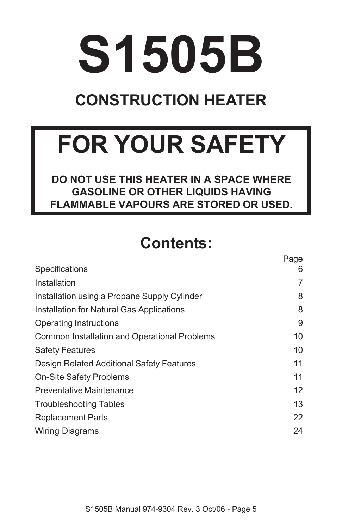# **S1505B**

## **CONSTRUCTION HEATER**

# **FOR YOUR SAFETY**

**DO NOT USE THIS HEATER IN A SPACE WHERE GASOLINE OR OTHER LIQUIDS HAVING FLAMMABLE VAPOURS ARE STORED OR USED.**

#### **Contents:**

|                                                     | Page |
|-----------------------------------------------------|------|
| Specifications                                      | 6    |
| Installation                                        | 7    |
| Installation using a Propane Supply Cylinder        | 8    |
| Installation for Natural Gas Applications           | 8    |
| <b>Operating Instructions</b>                       | 9    |
| <b>Common Installation and Operational Problems</b> | 10   |
| <b>Safety Features</b>                              | 10   |
| Design Related Additional Safety Features           | 11   |
| <b>On-Site Safety Problems</b>                      | 11   |
| Preventative Maintenance                            | 12   |
| <b>Troubleshooting Tables</b>                       | 13   |
| <b>Replacement Parts</b>                            | 22   |
| <b>Wiring Diagrams</b>                              | 24   |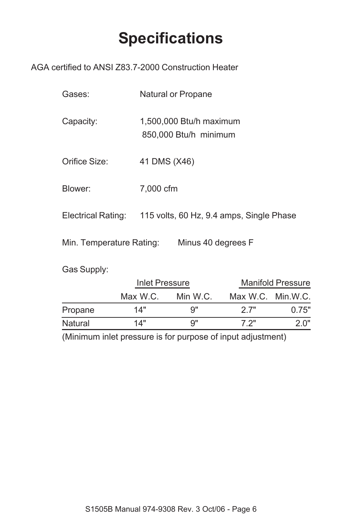#### **Specifications**

#### AGA certified to ANSI Z83.7-2000 Construction Heater

| Natural or Propane |
|--------------------|
|                    |

Capacity: 1,500,000 Btu/h maximum 850,000 Btu/h minimum

- Orifice Size: 41 DMS (X46)
- Blower: 7,000 cfm

Electrical Rating: 115 volts, 60 Hz, 9.4 amps, Single Phase

Min. Temperature Rating: Minus 40 degrees F

Gas Supply:

|         | Inlet Pressure |          |                   | <b>Manifold Pressure</b> |
|---------|----------------|----------|-------------------|--------------------------|
|         | Max W.C.       | Min W.C. | Max W.C. Min.W.C. |                          |
| Propane | 14"            | Q"       | 2.7"              | 0.75"                    |
| Natural | 14"            | Q"       | 7.2"              | 2 በ"                     |

(Minimum inlet pressure is for purpose of input adjustment)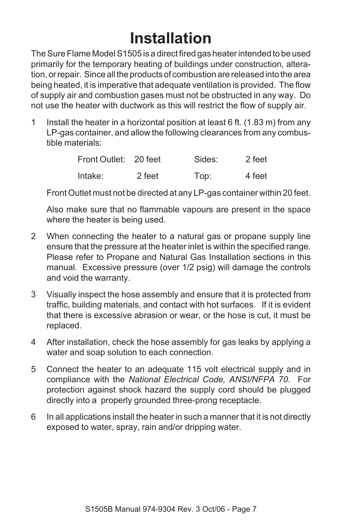### **Installation**

The Sure Flame Model S1505 is a direct fired gas heater intended to be used primarily for the temporary heating of buildings under construction, alteration, or repair. Since all the products of combustion are released into the area being heated, it is imperative that adequate ventilation is provided. The flow of supply air and combustion gases must not be obstructed in any way. Do not use the heater with ductwork as this will restrict the flow of supply air.

1 Install the heater in a horizontal position at least 6 ft. (1.83 m) from any LP-gas container, and allow the following clearances from any combustible materials:

| Front Outlet: 20 feet |        | Sides: | 2 feet |
|-----------------------|--------|--------|--------|
| Intake:               | 2 feet | Top:   | 4 feet |

Front Outlet must not be directed at any LP-gas container within 20 feet.

Also make sure that no flammable vapours are present in the space where the heater is being used.

- 2 When connecting the heater to a natural gas or propane supply line ensure that the pressure at the heater inlet is within the specified range. Please refer to Propane and Natural Gas Installation sections in this manual. Excessive pressure (over 1/2 psig) will damage the controls and void the warranty.
- 3 Visually inspect the hose assembly and ensure that it is protected from traffic, building materials, and contact with hot surfaces. If it is evident that there is excessive abrasion or wear, or the hose is cut, it must be replaced.
- 4 After installation, check the hose assembly for gas leaks by applying a water and soap solution to each connection.
- 5 Connect the heater to an adequate 115 volt electrical supply and in compliance with the *National Electrical Code, ANSI/NFPA 70.* For protection against shock hazard the supply cord should be plugged directly into a properly grounded three-prong receptacle.
- 6 In all applications install the heater in such a manner that it is not directly exposed to water, spray, rain and/or dripping water.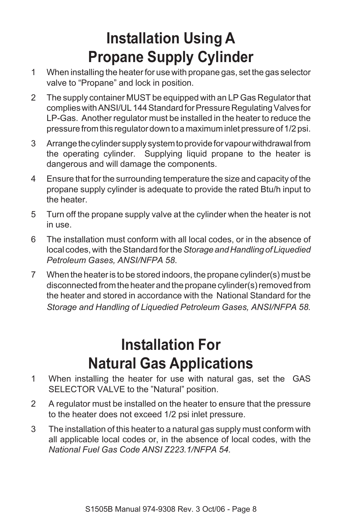### **Installation Using A Propane Supply Cylinder**

- 1 When installing the heater for use with propane gas, set the gas selector valve to "Propane" and lock in position.
- 2 The supply container MUST be equipped with an LP Gas Regulator that complies with ANSI/UL 144 Standard for Pressure Regulating Valves for LP-Gas. Another regulator must be installed in the heater to reduce the pressure from this regulator down to a maximum inlet pressure of 1/2 psi.
- 3 Arrange the cylinder supply system to provide for vapour withdrawal from the operating cylinder. Supplying liquid propane to the heater is dangerous and will damage the components.
- 4 Ensure that for the surrounding temperature the size and capacity of the propane supply cylinder is adequate to provide the rated Btu/h input to the heater.
- 5 Turn off the propane supply valve at the cylinder when the heater is not in use.
- 6 The installation must conform with all local codes, or in the absence of local codes, with the Standard for the *Storage and Handling of Liquedied Petroleum Gases, ANSI/NFPA 58*.
- 7 When the heater is to be stored indoors, the propane cylinder(s) must be disconnected from the heater and the propane cylinder(s) removed from the heater and stored in accordance with the National Standard for the *Storage and Handling of Liquedied Petroleum Gases, ANSI/NFPA 58.*

### **Installation For Natural Gas Applications**

- 1 When installing the heater for use with natural gas, set the GAS SELECTOR VALVE to the "Natural" position.
- 2 A regulator must be installed on the heater to ensure that the pressure to the heater does not exceed 1/2 psi inlet pressure.
- 3 The installation of this heater to a natural gas supply must conform with all applicable local codes or, in the absence of local codes, with the *National Fuel Gas Code ANSI Z223.1/NFPA 54.*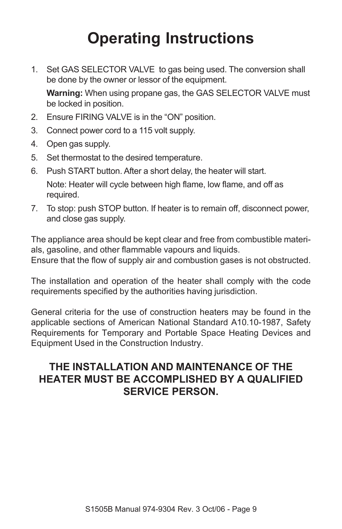### **Operating Instructions**

- 1. Set GAS SELECTOR VALVE to gas being used. The conversion shall be done by the owner or lessor of the equipment. **Warning:** When using propane gas, the GAS SELECTOR VALVE must be locked in position.
- 2. Ensure FIRING VALVE is in the "ON" position.
- 3. Connect power cord to a 115 volt supply.
- 4. Open gas supply.
- 5. Set thermostat to the desired temperature.
- 6. Push START button. After a short delay, the heater will start. Note: Heater will cycle between high flame, low flame, and off as required.
- 7. To stop: push STOP button. If heater is to remain off, disconnect power, and close gas supply.

The appliance area should be kept clear and free from combustible materials, gasoline, and other flammable vapours and liquids.

Ensure that the flow of supply air and combustion gases is not obstructed.

The installation and operation of the heater shall comply with the code requirements specified by the authorities having jurisdiction.

General criteria for the use of construction heaters may be found in the applicable sections of American National Standard A10.10-1987, Safety Requirements for Temporary and Portable Space Heating Devices and Equipment Used in the Construction Industry.

#### **THE INSTALLATION AND MAINTENANCE OF THE HEATER MUST BE ACCOMPLISHED BY A QUALIFIED SERVICE PERSON.**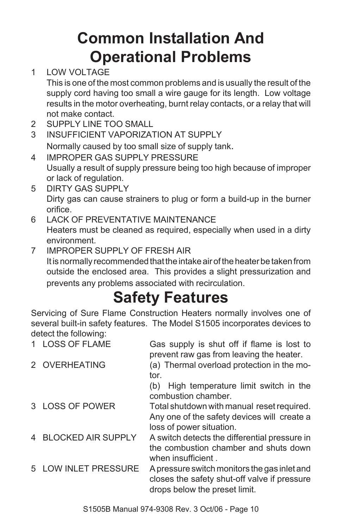### **Common Installation And Operational Problems**

#### 1 LOW VOLTAGE

This is one of the most common problems and is usually the result of the supply cord having too small a wire gauge for its length. Low voltage results in the motor overheating, burnt relay contacts, or a relay that will not make contact.

- 2 SUPPLY LINE TOO SMALL
- 3 INSUFFICIENT VAPORIZATION AT SUPPLY Normally caused by too small size of supply tank.
- 4 IMPROPER GAS SUPPLY PRESSURE Usually a result of supply pressure being too high because of improper or lack of regulation.
- 5 DIRTY GAS SUPPLY Dirty gas can cause strainers to plug or form a build-up in the burner orifice.
- 6 LACK OF PREVENTATIVE MAINTENANCE Heaters must be cleaned as required, especially when used in a dirty environment.
- 7 IMPROPER SUPPLY OF FRESH AIR It is normally recommended that the intake air of the heater be taken from outside the enclosed area. This provides a slight pressurization and prevents any problems associated with recirculation.

## **Safety Features**

Servicing of Sure Flame Construction Heaters normally involves one of several built-in safety features. The Model S1505 incorporates devices to detect the following:

1 LOSS OF FLAME Gas supply is shut off if flame is lost to prevent raw gas from leaving the heater. 2 OVERHEATING (a) Thermal overload protection in the motor. (b) High temperature limit switch in the combustion chamber. 3 LOSS OF POWER Total shutdown with manual reset required. Any one of the safety devices will create a loss of power situation. 4 BLOCKED AIR SUPPLY A switch detects the differential pressure in the combustion chamber and shuts down when insufficient . 5 LOW INLET PRESSURE A pressure switch monitors the gas inlet and closes the safety shut-off valve if pressure drops below the preset limit.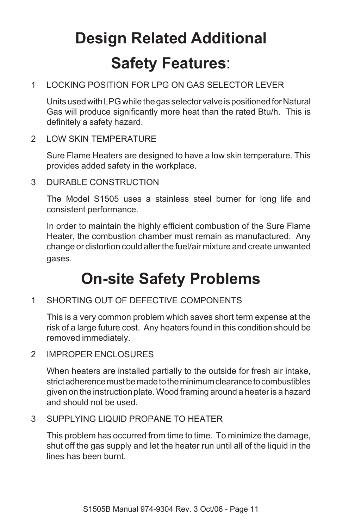## **Design Related Additional Safety Features**:

1 LOCKING POSITION FOR LPG ON GAS SELECTOR LEVER

Units used with LPG while the gas selector valve is positioned for Natural Gas will produce significantly more heat than the rated Btu/h. This is definitely a safety hazard.

2 LOW SKIN TEMPERATURE

Sure Flame Heaters are designed to have a low skin temperature. This provides added safety in the workplace.

3 DURABLE CONSTRUCTION

The Model S1505 uses a stainless steel burner for long life and consistent performance.

In order to maintain the highly efficient combustion of the Sure Flame Heater, the combustion chamber must remain as manufactured. Any change or distortion could alter the fuel/air mixture and create unwanted gases.

## **On-site Safety Problems**

1 SHORTING OUT OF DEFECTIVE COMPONENTS

This is a very common problem which saves short term expense at the risk of a large future cost. Any heaters found in this condition should be removed immediately.

2 IMPROPER ENCLOSURES

When heaters are installed partially to the outside for fresh air intake, strict adherence must be made to the minimum clearance to combustibles given on the instruction plate. Wood framing around a heater is a hazard and should not be used.

3 SUPPLYING LIQUID PROPANE TO HEATER

This problem has occurred from time to time. To minimize the damage, shut off the gas supply and let the heater run until all of the liquid in the lines has been burnt.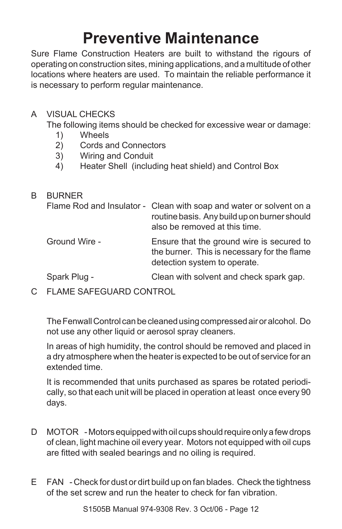#### **Preventive Maintenance**

Sure Flame Construction Heaters are built to withstand the rigours of operating on construction sites, mining applications, and a multitude of other locations where heaters are used. To maintain the reliable performance it is necessary to perform regular maintenance.

#### A VISUAL CHECKS

The following items should be checked for excessive wear or damage:

- 1) Wheels
- 2) Cords and Connectors
- 3) Wiring and Conduit
- 4) Heater Shell (including heat shield) and Control Box

#### B BURNER Flame Rod and Insulator - Clean with soap and water or solvent on a routine basis. Any build up on burner should also be removed at this time. Ground Wire - Ensure that the ground wire is secured to the burner. This is necessary for the flame detection system to operate. Spark Plug - Clean with solvent and check spark gap.

C FLAME SAFEGUARD CONTROL

The Fenwall Control can be cleaned using compressed air or alcohol. Do not use any other liquid or aerosol spray cleaners.

In areas of high humidity, the control should be removed and placed in a dry atmosphere when the heater is expected to be out of service for an extended time.

It is recommended that units purchased as spares be rotated periodically, so that each unit will be placed in operation at least once every 90 days.

- D MOTOR Motors equipped with oil cups should require only a few drops of clean, light machine oil every year. Motors not equipped with oil cups are fitted with sealed bearings and no oiling is required.
- E FAN Check for dust or dirt build up on fan blades. Check the tightness of the set screw and run the heater to check for fan vibration.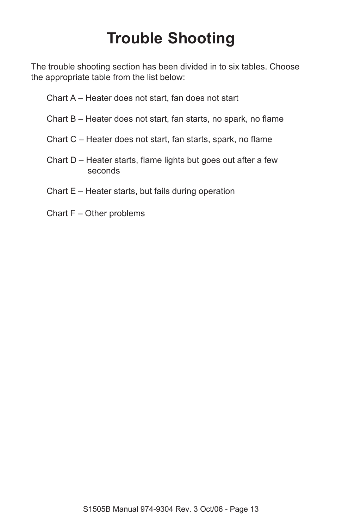#### **Trouble Shooting**

The trouble shooting section has been divided in to six tables. Choose the appropriate table from the list below:

- Chart A Heater does not start, fan does not start
- Chart B Heater does not start, fan starts, no spark, no flame
- Chart C Heater does not start, fan starts, spark, no flame
- Chart D Heater starts, flame lights but goes out after a few seconds
- Chart E Heater starts, but fails during operation
- Chart F Other problems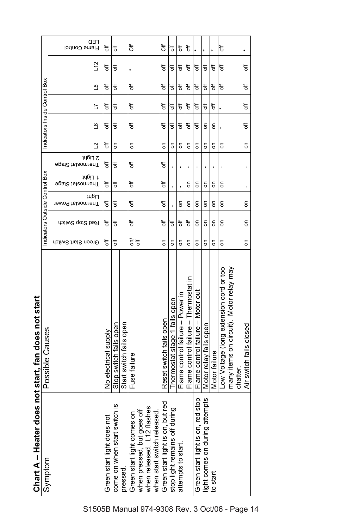| bleair — I discl                                                                        | ווסופ וטון פסטא וויי וואוני אטר פאט     |                    |                                |                           |                            |                            |   |                               |   |    |    |                      |
|-----------------------------------------------------------------------------------------|-----------------------------------------|--------------------|--------------------------------|---------------------------|----------------------------|----------------------------|---|-------------------------------|---|----|----|----------------------|
| Symptom                                                                                 | Possible Causes                         |                    | Indicators Outside Control Box |                           |                            |                            |   | Indicators Inside Control Box |   |    |    |                      |
|                                                                                         |                                         | Green Start Switch | Red Stop Switch                | Light<br>Thermostat Power | 1 Light<br>∋psi2 isizomenT | 2 Light<br>∋psi2 isizomenT | ₫ | ڡ                             | 5 | ്ട | 12 | rED<br>Flame Control |
| Green start light does not                                                              | No electrical supply                    | ₹                  | ₩                              | ₩                         | ₹                          | ₹                          | ₹ | ₹                             | đ | đ  | đ  | ₩                    |
| come on when start switch is                                                            | Stop switch fails open                  | t                  | ₩                              | đ                         | ₩                          | ₩                          | g | đ                             | ₩ | đ  | đ  | t                    |
| pressed.                                                                                | Start switch fails open                 |                    |                                |                           |                            |                            |   |                               |   |    |    |                      |
|                                                                                         | Fuse failure                            | े हैं<br>इ         | đ                              | ₩                         | đ                          | đ                          | g | đ                             | đ | đ  | ×  | ð                    |
| Green start light comes on<br>when pressed, but goes off<br>when released. L12 flashes  |                                         |                    |                                |                           |                            |                            |   |                               |   |    |    |                      |
| when start switch released.                                                             |                                         |                    |                                |                           |                            |                            |   |                               |   |    |    |                      |
| but red                                                                                 | Reset switch fails open                 | δ                  | đ                              | ₹                         | đ                          | đ                          | δ | ₹                             | đ | đ  | đ  | đ                    |
| during<br>Green start light is on, t<br>stop light remains off du<br>attempts to start. | Thermostat stage 1 fails open           | δ                  | đ                              |                           |                            | ï                          | g | đ                             | ₩ | ₩  | ₩  | t                    |
|                                                                                         | Flame control failure - Power in        | δ                  | ₹                              | δ                         |                            | ,                          | δ | đ                             | ₩ | đ  | t  | t                    |
|                                                                                         | Flame control failure - Thermostat in   | δ                  | đ                              | S                         | g                          | ı                          | δ | đ                             | đ | đ  | ۵f | đ                    |
| red stop<br>Green start light is on,                                                    | Flame control failure - Motor out       | 5                  | δ                              | δ                         | g                          | ı                          | 6 | ₹                             | ₩ | đ  | ₩  |                      |
| attempts<br>light comes on during                                                       | Motor relay fails open                  | δ                  | δ                              | δ                         | δ                          | ı                          | δ | δ                             | đ | đ  | ₩  |                      |
| to start                                                                                | Motor failure                           | δ                  | δ                              | 5                         | g                          | ı                          | g | g                             | ð | ₩  | t  |                      |
|                                                                                         | Low Voltage (long extension cord or too | δ                  | δ                              | δ                         | g                          | ı                          | S |                               |   | đ  | ₹  | t                    |
|                                                                                         | many items on circuit). Motor relay may |                    |                                |                           |                            |                            |   |                               |   |    |    |                      |
|                                                                                         | chatter                                 |                    |                                |                           |                            |                            |   |                               |   |    |    |                      |
|                                                                                         | Air switch fails closed                 | 6                  | δ                              | 6                         |                            | ı                          | S | đ                             | đ | đ  | đ  |                      |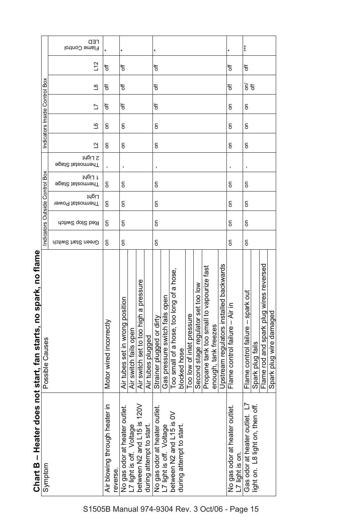|                                               |                               | <b>TED</b><br>Flame Control |                                           |                                 |                       |                                                                                                                                                     |                   |                           |                                                   |                                          |                         |                           |                                    |                                          |                      |                                         |                                  | ***                                              |                                  |                                         |                         |
|-----------------------------------------------|-------------------------------|-----------------------------|-------------------------------------------|---------------------------------|-----------------------|-----------------------------------------------------------------------------------------------------------------------------------------------------|-------------------|---------------------------|---------------------------------------------------|------------------------------------------|-------------------------|---------------------------|------------------------------------|------------------------------------------|----------------------|-----------------------------------------|----------------------------------|--------------------------------------------------|----------------------------------|-----------------------------------------|-------------------------|
|                                               |                               | 51                          | đ                                         | ₹                               |                       |                                                                                                                                                     |                   | ₹                         |                                                   |                                          |                         |                           |                                    |                                          |                      |                                         | đ                                | ₹                                                |                                  |                                         |                         |
|                                               |                               | $\mathbf{a}$                | đ                                         | đ                               |                       |                                                                                                                                                     |                   | ₹                         |                                                   |                                          |                         |                           |                                    |                                          |                      |                                         | đ                                | हे ह                                             |                                  |                                         |                         |
|                                               | Indicators Inside Control Box | Ľ                           | đ                                         | ₹                               |                       |                                                                                                                                                     |                   | ₹                         |                                                   |                                          |                         |                           |                                    |                                          |                      |                                         | $\overline{5}$                   | $\overline{5}$                                   |                                  |                                         |                         |
|                                               |                               | ്വ                          | g                                         | δ                               |                       |                                                                                                                                                     |                   | δ                         |                                                   |                                          |                         |                           |                                    |                                          |                      |                                         | $\overline{5}$                   | 6                                                |                                  |                                         |                         |
|                                               |                               | $\overline{a}$              | g                                         | δ                               |                       |                                                                                                                                                     |                   | S                         |                                                   |                                          |                         |                           |                                    |                                          |                      |                                         | $\overline{5}$                   | g                                                |                                  |                                         |                         |
|                                               |                               | 2 Light<br>Fhermostat Stage |                                           | ı                               |                       |                                                                                                                                                     |                   |                           |                                                   |                                          |                         |                           |                                    |                                          |                      |                                         |                                  |                                                  |                                  |                                         |                         |
|                                               |                               | 1 Light<br>Hermostat Stage  | g                                         | S                               |                       |                                                                                                                                                     |                   | g                         |                                                   |                                          |                         |                           |                                    |                                          |                      |                                         | δ                                | g                                                |                                  |                                         |                         |
|                                               |                               | Light<br>Thermostat Power   | δ                                         | δ                               |                       |                                                                                                                                                     |                   | 5                         |                                                   |                                          |                         |                           |                                    |                                          |                      |                                         | δ                                | δ                                                |                                  |                                         |                         |
|                                               | ndicators Outside Control Box | Red Stop Switch             | δ                                         | δ                               |                       |                                                                                                                                                     |                   | δ                         |                                                   |                                          |                         |                           |                                    |                                          |                      |                                         | δ                                | δ                                                |                                  |                                         |                         |
|                                               |                               | Green Start Switch          | S                                         | δ                               |                       |                                                                                                                                                     |                   | 5                         |                                                   |                                          |                         |                           |                                    |                                          |                      |                                         | δ                                | δ                                                |                                  |                                         |                         |
| uoes no spark. Tari sian sian spark. To Tarie | Possible Causes               |                             | Motor wired incorrectly                   | Air tubes set in wrong position | Air switch fails open | Air switch set to too high a pressure                                                                                                               | Air tubes plugged | Strainer plugged or dirty | Gas pressure switch fails open                    | Too small of a hose, too long of a hose, | blocked hose            | Too low of inlet pressure | Second stage regulator set too low | Propane tank too small to vapourize fast | enough, tank freezes | Upstream regulators installed backwards | Flame control failure - Air in   | Flame control failure - spark out                | Spark plug fails                 | Flame rod and spark plug wires reversed | Spark plug wire damaged |
| <b>Unant D – Denver</b>                       | Symptom                       |                             | Air blowing through heater in<br>reverse. | outlet.                         |                       | is 120V<br>po year of the start of the start of the start of the start of the start.<br>The SM of the start of the start of the start of the start. |                   | outlet                    | No gas odor at heater<br>L7 light is off. Voltage | $\leq 0$<br>between N2 and L15           | during attempt to start |                           |                                    |                                          |                      |                                         | outlet.<br>No gas odor at heater | L7 light is on.<br>Gas odor at heater outlet. L7 | light on. L8 light on, then off. |                                         |                         |

**Chart B – Heater does not start, fan starts, no spark, no flame**  enark no flame  $\zeta$ Chart B – Heater does not start fan starts.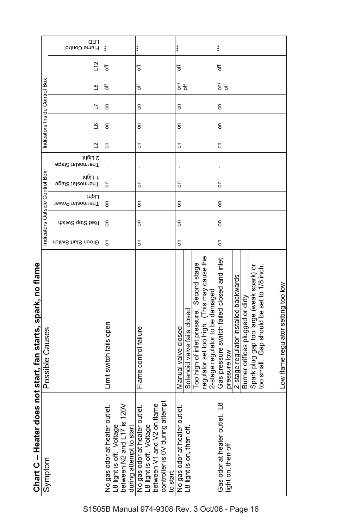| Chart C - Heater                                                                                                                                                                          | does not start, fan starts, spark, no flame                                                                                |                    |                                |                           |                              |                             |                |                               |                |                                                  |    |                             |
|-------------------------------------------------------------------------------------------------------------------------------------------------------------------------------------------|----------------------------------------------------------------------------------------------------------------------------|--------------------|--------------------------------|---------------------------|------------------------------|-----------------------------|----------------|-------------------------------|----------------|--------------------------------------------------|----|-----------------------------|
| Symptom                                                                                                                                                                                   | Possible Causes                                                                                                            |                    | Indicators Outside Control Box |                           |                              |                             |                | Indicators Inside Control Box |                |                                                  |    |                             |
|                                                                                                                                                                                           |                                                                                                                            | Green Start Switch | Red Stop Switch                | Light<br>Thermostat Power | ן רוּסֿµג<br>∋psi2 isizomenT | 2 Light<br>Fhermostal Stage | ₫              | ്                             | 5              | $\frac{8}{1}$                                    | 12 | <b>CED</b><br>Flame Control |
| is 120V<br>outlet.<br>L8 light is off. Voltage<br>between N2 and L17 is<br>No gas odor at heater                                                                                          | Limit switch fails open                                                                                                    | δ                  | 5                              | δ                         | g                            |                             | ā              | g                             | δ              | đ                                                | ₹  |                             |
| attempt<br>n flame<br>during attempt to start.<br>No gas odor at heater outlet.<br>L8 light is off. Voltage<br>between V1 and V2 on flame<br>controller is OV during attempt<br>to start. | Flame control failure                                                                                                      | δ                  | δ                              | δ                         | δ                            |                             | $\overline{5}$ | $\overline{5}$                | $\overline{5}$ | đ                                                | đ  | ***                         |
| outlet<br>No gas odor at heater<br>L8 light is on, then off.                                                                                                                              | Solenoid valve fails closed<br>Manual valve closed                                                                         | $\overline{5}$     | δ                              | δ                         | g                            |                             | δ              | δ                             | g              | हें मू                                           | ₩  | ***                         |
|                                                                                                                                                                                           | regulator set too high. (This may cause the<br>Too high of inlet pressure. Second stage<br>2-stage regulator to be damaged |                    |                                |                           |                              |                             |                |                               |                |                                                  |    |                             |
| ്⊡<br>Gas odor at heater outlet.<br>light on, then off.                                                                                                                                   | Gas pressure switch failed closed and inlet<br>2-stage regulator installed backwards<br>pressure low                       | δ                  | δ                              | δ                         | g                            |                             | δ              | g                             | g              | $\widetilde{\mathbf{5}}$ $\mathbf{\overline{5}}$ | ₩  | ***                         |
|                                                                                                                                                                                           | Burner orifices plugged or dirty                                                                                           |                    |                                |                           |                              |                             |                |                               |                |                                                  |    |                             |
|                                                                                                                                                                                           | too small. Gap should be set to 1/8 inch.<br>Spark plug gap too large (weak spark) or                                      |                    |                                |                           |                              |                             |                |                               |                |                                                  |    |                             |
|                                                                                                                                                                                           | Low flame regulator setting too low                                                                                        |                    |                                |                           |                              |                             |                |                               |                |                                                  |    |                             |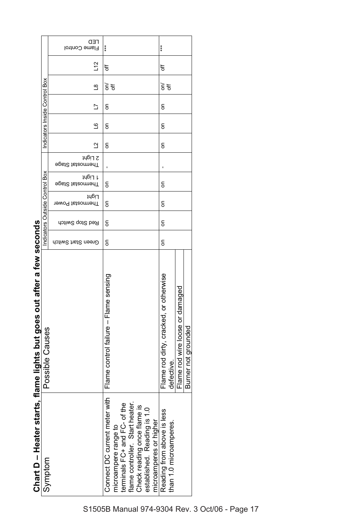|                                                                                                                                                                                                                  | onial Dealer Starls Dut Starls Harrer Starls Dut aller a lew Seconds                                           |                    |                 |                                              |                             |              |                               |   |        |    |                      |
|------------------------------------------------------------------------------------------------------------------------------------------------------------------------------------------------------------------|----------------------------------------------------------------------------------------------------------------|--------------------|-----------------|----------------------------------------------|-----------------------------|--------------|-------------------------------|---|--------|----|----------------------|
| Symptom                                                                                                                                                                                                          | Possible Causes                                                                                                |                    |                 | Indicators Outside Control Box               |                             |              | Indicators Inside Control Box |   |        |    |                      |
|                                                                                                                                                                                                                  |                                                                                                                | Green Start Switch | Red Stop Switch | ∋psi2 isizomenT<br>Light<br>Thermostat Power | Fhermostal Stage<br>1 Light | ₫<br>2 Light | ള                             | 5 | ≌      | 12 | CED<br>Flame Control |
| Connect DC current meter with<br>microampere range to<br>terminals FC+ and FC- of the<br>flame controller. Start heater.<br>Check reading once flame is<br>established. Reading is 1.0<br>microamperes or higher | Flame control failure - Flame sensing                                                                          | δ                  | δ               | g<br>δ                                       |                             | g            | S                             | g | हे 'इ  | đ  | $***$                |
| less<br>than 1.0 microamperes<br>Reading from above is                                                                                                                                                           | Flame rod dirty, cracked, or otherwise<br>Flame rod wire loose or damaged<br>Burner not grounded<br>defective. | δ                  | δ               | g<br>δ                                       |                             | δ            | δ                             | g | हें मू | đ  | ***                  |

Chart D – Heater starts. flame lights but goes out after a few seconds **Chart D – Heater starts, flame lights but goes out after a few seconds**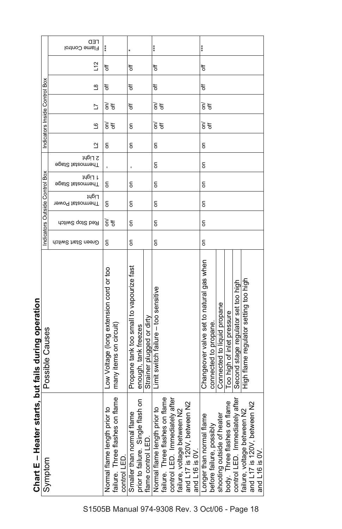| ו ופטופו<br>י                                                                                                                                                                                                                                       | alus, bulis uni lingus diperanon                                                              |                    | Indicators Outside Control Box |                           |                            |                            |   | Indicators Inside Control Box  |                                       |    |    |                             |
|-----------------------------------------------------------------------------------------------------------------------------------------------------------------------------------------------------------------------------------------------------|-----------------------------------------------------------------------------------------------|--------------------|--------------------------------|---------------------------|----------------------------|----------------------------|---|--------------------------------|---------------------------------------|----|----|-----------------------------|
| Symptom                                                                                                                                                                                                                                             | Possible Causes                                                                               |                    |                                |                           |                            |                            |   |                                |                                       |    |    |                             |
|                                                                                                                                                                                                                                                     |                                                                                               | Green Start Switch | Red Stop Switch                | Light<br>Thermostat Power | 1 Light<br>∍psi2 isizomenT | 2 Light<br>∍psi2 isizomenT | ₫ | ്വ                             | ב                                     | ്ട | 51 | <b>LED</b><br>Flame Control |
| failure. Three flashes on flame<br>control LED.<br>Smaller than normal flame<br>Normal flame length prior to                                                                                                                                        | Low Voltage (long extension cord or too<br>many items on circuit)                             | δ                  | हें 'ह                         | 5                         | g                          |                            | ā | हे इ                           | $\widetilde{\mathsf{s}}$ $\mathsf{t}$ | ₹  | ₹  | ***                         |
|                                                                                                                                                                                                                                                     | Propane tank too small to vapourize fast<br>Strainer plugged or dirty<br>enough, tank freezes | δ                  | δ                              | δ                         | 6                          |                            | 6 | g                              | đ                                     | đ  | đ  |                             |
|                                                                                                                                                                                                                                                     |                                                                                               |                    |                                |                           |                            |                            |   |                                |                                       |    |    |                             |
| prior to failure. Single flash on<br>flame control LED.<br>Normal flame length prior to<br>failure. Three flashes on flame<br>control LED. Immediately after<br>failure, voltage between N2<br>and L16 is 120V, between N2<br>Longer than normal fl | Limit switch failure - too sensitive                                                          | δ                  | δ                              | δ                         | g                          | S                          | g | हें मू                         | $\widetilde{\varepsilon}$ ಕ           | ₹  | ₹  | ***                         |
|                                                                                                                                                                                                                                                     | Changeover valve set to natural gas when<br>connected to propane.                             | $\overline{5}$     | δ                              | δ                         | g                          | g                          | S | $\widetilde{\vec{5}}$ $\sharp$ | $\widetilde{\vec{5}}$ $\sharp$        | ₹  | đ  | $*$                         |
|                                                                                                                                                                                                                                                     | Connected to liquid propane                                                                   |                    |                                |                           |                            |                            |   |                                |                                       |    |    |                             |
|                                                                                                                                                                                                                                                     | Too high of inlet pressure                                                                    |                    |                                |                           |                            |                            |   |                                |                                       |    |    |                             |
|                                                                                                                                                                                                                                                     | Second stage regulator set too high                                                           |                    |                                |                           |                            |                            |   |                                |                                       |    |    |                             |
| control LED. Immediately after<br>failure, voltage between N2<br>and L17 is 120V, between N2                                                                                                                                                        | High flame regulator setting too high                                                         |                    |                                |                           |                            |                            |   |                                |                                       |    |    |                             |
| and L16 is OV.                                                                                                                                                                                                                                      |                                                                                               |                    |                                |                           |                            |                            |   |                                |                                       |    |    |                             |

Heater starts, but fails during operation **Chart E – Heater starts, but fails during operation**  Chart  $F -$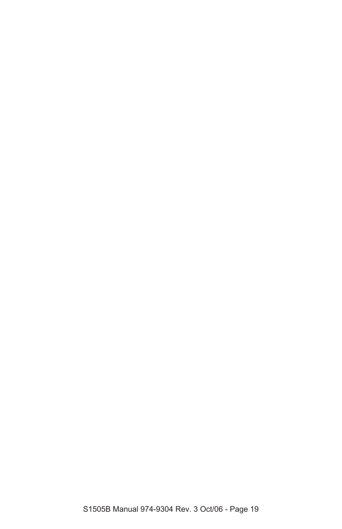S1505B Manual 974-9304 Rev. 3 Oct/06 - Page 19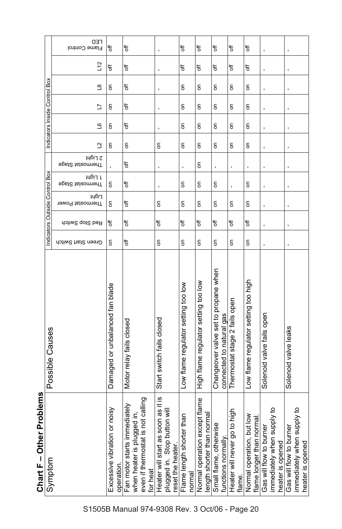# Chart F - Other Problems **Chart F – Other Problems**

|                                | <b>CED</b><br>Flame Control         | ₩                                             | ₩                                                                                                           |                                                                                         | t                                   | ₹                                                                     | ₹                                                                | đ                                      | t                                                                    |                                                                           |                                                                           |
|--------------------------------|-------------------------------------|-----------------------------------------------|-------------------------------------------------------------------------------------------------------------|-----------------------------------------------------------------------------------------|-------------------------------------|-----------------------------------------------------------------------|------------------------------------------------------------------|----------------------------------------|----------------------------------------------------------------------|---------------------------------------------------------------------------|---------------------------------------------------------------------------|
|                                | 12                                  | ₩                                             | ₩                                                                                                           |                                                                                         | ₩                                   | ₹                                                                     | đ                                                                | ₩                                      | đ                                                                    | ı                                                                         |                                                                           |
|                                | ്ട                                  | g                                             | ₩                                                                                                           |                                                                                         | g                                   | g                                                                     | δ                                                                | g                                      | δ                                                                    |                                                                           |                                                                           |
| Indicators Inside Control Box  | 2                                   | g                                             | ₩                                                                                                           |                                                                                         | g                                   | δ                                                                     | δ                                                                | g                                      | S                                                                    |                                                                           |                                                                           |
|                                | ്വ                                  | g                                             | ₩                                                                                                           |                                                                                         | g                                   | g                                                                     | δ                                                                | S                                      | S                                                                    |                                                                           |                                                                           |
|                                | ₫                                   | g                                             | g                                                                                                           | g                                                                                       | g                                   | δ                                                                     | δ                                                                | g                                      | S                                                                    |                                                                           |                                                                           |
|                                | 2 Light<br>Fhermostat Stage         |                                               | ₩                                                                                                           |                                                                                         |                                     | g                                                                     |                                                                  |                                        |                                                                      |                                                                           |                                                                           |
|                                | 1 Light<br><b>∍</b> gst2 tsteomeriT | క్                                            | ₩                                                                                                           |                                                                                         | 5                                   | δ                                                                     | δ                                                                |                                        | δ                                                                    |                                                                           |                                                                           |
| Indicators Outside Control Box | <b>Tight</b><br>Thermostat Power    | ε                                             | ₩                                                                                                           | δ                                                                                       | $\overline{5}$                      | 5                                                                     | 5                                                                | 5                                      | δ                                                                    |                                                                           |                                                                           |
|                                | Red Stop Switch                     | ₩                                             | Ρp                                                                                                          | ₹                                                                                       | ₩                                   | ₩                                                                     | đ                                                                | ₹                                      | đ                                                                    | ı                                                                         |                                                                           |
|                                | Green Start Switch                  | ε                                             | ₹                                                                                                           | δ                                                                                       | δ                                   | δ                                                                     | δ                                                                | δ                                      | δ                                                                    |                                                                           |                                                                           |
| Possible Causes                |                                     | Damaged or unbalanced fan blade               | Motor relay fails closed                                                                                    | Start switch fails closed                                                               | Low flame regulator setting too low | High flame regulator setting too low                                  | Changeover valve set to propane when<br>connected to natural gas | Thermostat stage 2 fails open          | Low flame regulator setting too high                                 | Solenoid valve fails open                                                 | Solenoid valve leaks                                                      |
| Symptom                        |                                     | noisy<br>Excessive vibration or<br>operation. | when heater is plugged in,<br>even if thermostat is not calling<br>Fan motor starts immediately<br>for heat | Heater will start as soon as it is<br>plugged in. Stop button will<br>reset the heater. | than<br>Flame length shorter        | normal<br>Normal operation except flame<br>length shorter than normal | Small flame, otherwise<br>functions normally.                    | Heater will never go to high<br>flame. | $\frac{8}{10}$<br>flame longer than normal.<br>Normal operation, but | immediately when supply to<br>heater is opened<br>Gas will flow to burner | immediately when supply to<br>heater is opened<br>Gas will flow to burner |

S1505B Manual 974-9308 Rev. 3 Oct/06 - Page 20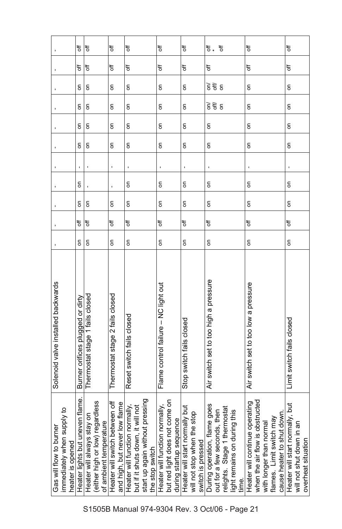| immediately when supply to<br>Gas will flow to burner<br>heater is opened                                                                                                                 | Solenoid valve installed backwards    | $\blacksquare$ | J.           |                |   |                |                |                   |                      |   |         |
|-------------------------------------------------------------------------------------------------------------------------------------------------------------------------------------------|---------------------------------------|----------------|--------------|----------------|---|----------------|----------------|-------------------|----------------------|---|---------|
| Heater lights but uneven flame.                                                                                                                                                           | Burner orifices plugged or dirty      | 5              | đ            | $\overline{5}$ | δ | S              | S              | S                 | S                    | ₹ | ₹       |
| (either high or low) regardless<br>Heater will always stay on<br>of ambient temperature                                                                                                   | Thermostat stage 1 fails closed       | δ              | ₹            | δ              |   | S              | g              | g                 | g                    | ₹ | đ       |
| Heater will switch between off<br>and high, but never low flame                                                                                                                           | Thermostat stage 2 fails closed       | δ              | đ            | δ              |   | S              | δ              | S                 | g                    | đ | t       |
| Heater will function normally,<br>but if it shuts down, it will not<br>start up again without pressing                                                                                    | Reset switch fails closed             | $\overline{5}$ | ₩            | $\overline{5}$ | g | δ              | g              | g                 | δ                    | đ | ₹       |
| Heater will function normally,<br>but red light does not come on<br>the stop switch                                                                                                       | Flame control failure - NC light out  | $\overline{5}$ | <sup>1</sup> | $\overline{5}$ | δ | $\overline{5}$ | $\overline{5}$ | g                 | $\overline{5}$       | đ | ₩       |
| during startup sequence                                                                                                                                                                   |                                       |                |              |                |   |                |                |                   |                      |   |         |
| Heater will start normally but<br>will not stop when the stop<br>switch is pressed                                                                                                        | Stop switch fails closed              | δ              | đ            | δ              | S | S              | S              | S                 | S                    | đ | đ       |
| During operation, flame goes<br>out for a few seconds, then<br>mostat<br>light remains on during this<br>relights. Stage 1 then<br>time.                                                  | Air switch set to too high a pressure | δ              | đ            | $\overline{5}$ | δ | δ              | δ              | ξÈ<br>$\mathsf S$ | ξÈ<br>$\overline{5}$ | đ | đ<br>₩. |
| when the air flow is obstructed<br>with longer than normal<br>flames. Limit switch may<br>cause heater to shut down.<br>Heater will start normally, but<br>Heater will continue operating | Air switch set to too low a pressure  | δ              | đ            | δ              | S | δ              | δ              | S                 | S                    | đ | t       |
| will not shut down in an<br>overheat situation                                                                                                                                            | Limit switch fails closed             | δ              | <sup>0</sup> | δ              | δ | δ              | δ              | S                 | δ                    | đ | t       |

S1505B Manual 974-9304 Rev. 3 Oct/06 - Page 21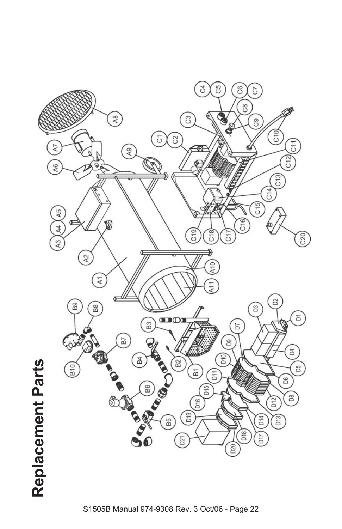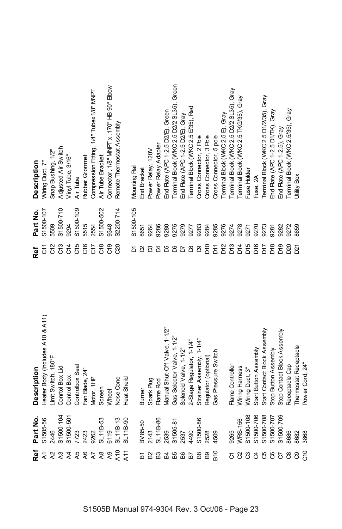| Ref             | Part No.       | Description                      | Ref             | Part No.   | Description                               |
|-----------------|----------------|----------------------------------|-----------------|------------|-------------------------------------------|
|                 |                |                                  |                 |            |                                           |
| $\overline{A}$  | S1505-56       | Heater Body (Includes A10 & A11) | 5               | S1500-107  | Wiring Duct, 7"                           |
| A <sub>2</sub>  | 2446           | init Switch, 180°F               | C <sub>12</sub> | 5509       | Snap Bushing, 1/2"                        |
| $\lambda$ 3     | S1500-104      | Conrtol Box Lid                  | C <sub>13</sub> | S1500-710  | Adjusted Air Switch                       |
| $\overline{4}$  | \$1500-501     | Control Box                      | C14             | 9294       | vinyl Tube, 3/16"                         |
| A5              | 7723           | Controlbox Seal                  | C15             | S1500-109  | Air Tube                                  |
| $\overline{A}6$ | 2423           | Fan Blade, 24"                   | C <sub>16</sub> | 5515       | Rubber Grommet                            |
| $\overline{A}$  | 9262           | Motor, 1HP                       | 512             | 2554       | Compression Fitting, 1/4" Tubex1/8" MNPT  |
| $\overline{48}$ | SL11B-53       | Screen                           | $\frac{8}{5}$   | \$1500-502 | Air Tube Bracket                          |
| $\overline{A}$  | 6119           | Wheel                            | ero             | 9348       | Connector, 1/8" MNPT x .170" HB 90° Elbow |
| A10             | SL11B-13       | <b>Vose Cone</b>                 | 80              | S2200-714  | Remote Thermostat Assembly                |
| A11             | SL11B-90       | Heat Sheild                      |                 |            |                                           |
|                 |                |                                  | δ               | S1500-105  | Mounting Rail                             |
| 찓               | BV85-50        | Burner                           | b <sub>2</sub>  | 8651       | End Bracket                               |
| B2              | 2143           | Spark Plug                       | සි              | 9264       | Pow er Relay, 120V                        |
| සි              | SL11B-86       | Flame Rod                        | ď               | 9286       | Pow er Relay Adapter                      |
| PZ              | 2539           | Vanual Shut-Off Valve, 1-1/2"    | δ               | 9280       | End Plate (APC 1-2.5 D2/E), Green         |
| Ъ£              | S1505-81       | Gas Selector Valve, 1-1/2        | රි              | 9275       | Terminal Block (WKC 2.5 D2/2 SL35), Green |
| 8               | 2537           | Solenoid Valve, 1-1/2"           | b.              | 9279       | End Plate (APC 1-2.5 D2/E), Gray          |
| <b>P</b>        | 4490           | 2-Stage Regulator, 1-1/4"        | පි              | 9277       | erminal Block (VVKC 2.5 E/35), Red        |
| 88              | S1500-86       | Strainer Assembly, 1-1/4"        | පි              | 9283       | Cross Connector, 2 Pole                   |
|                 | 2528           | Regulator (optional)             | D <sub>10</sub> | 9284       | Cross Connector, 3 Pole                   |
| $\frac{1}{2}$   | 4509           | Gas Pressure Switch              | $\overline{5}$  | 9285       | Cross Connector, 5 pole                   |
|                 |                |                                  | D <sub>12</sub> | 9276       | Terminal Block (VVKC 2.5 E), Gray         |
| δ               | 9265           | Flame Controller                 | D <sub>13</sub> | 9274       | ferminal Block (VVKC 2.5 D2/2 SL35), Gray |
| 8               | <b>WRS-156</b> | <b>Niring Harness</b>            | D <sub>14</sub> | 9278       | erminal Block (WKC 2.5 TKG/35), Gray      |
| පි              | S1500-108      | Niring Duct, 3"                  | D <sub>15</sub> | 9271       | Fuse Holder                               |
| 8               | S1500-706      | Start Button Assembly            | $\frac{6}{2}$   | 9270       | Fuse, 2A                                  |
| පි              | S1500-708      | Start Contact Block Assembly     | <b>ZKO</b>      | 9273       | Terminal Block (VKC 2.5 D1/2/35), Gray    |
| 8               | \$1500-707     | Stop Button Assembly             | D18             | 9281       | End Plate (APC 1-2.5 D1/TK), Gray         |
| <b>D</b>        | \$1500-709     | Stop Contact Block Assembly      | D <sub>10</sub> | 9282       | End Plate (APC 1-2.5), Gray               |
| පි              | 8686           | <b>Receptacle Cap</b>            | <b>D20</b>      | 9272       | Terminal Block (VVKC 2.5/35), Gray        |
| පි              | 8682           | Thermostat Receptacle            | $\tilde{2}$     | 3659       | <b>Utility Box</b>                        |
| $\frac{1}{5}$   | 3868           | Power Cord, 24"                  |                 |            |                                           |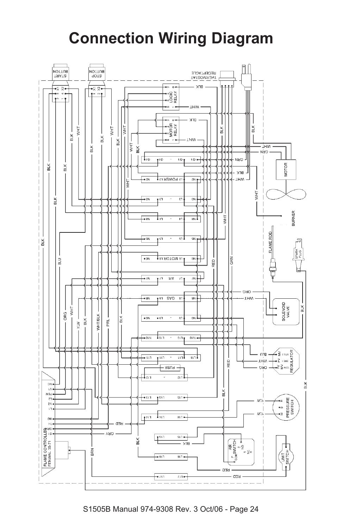#### **Connection Wiring Diagram**



S1505B Manual 974-9308 Rev. 3 Oct/06 - Page 24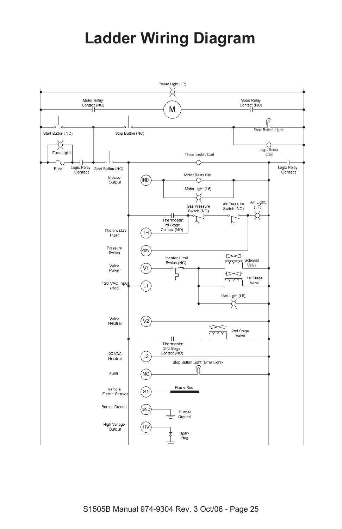#### **Ladder Wiring Diagram**

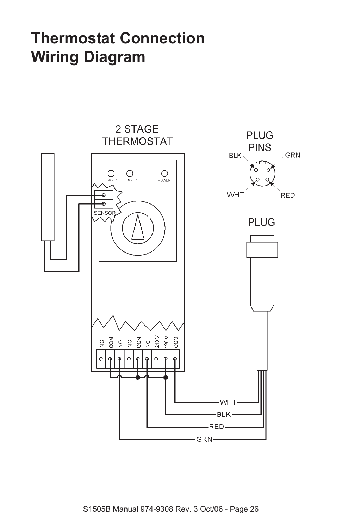#### **Thermostat Connection Wiring Diagram**